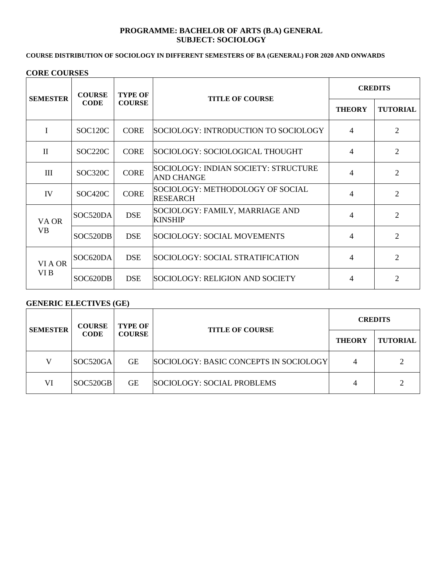## **PROGRAMME: BACHELOR OF ARTS (B.A) GENERAL SUBJECT: SOCIOLOGY**

## **COURSE DISTRIBUTION OF SOCIOLOGY IN DIFFERENT SEMESTERS OF BA (GENERAL) FOR 2020 AND ONWARDS**

#### **CORE COURSES**

| <b>SEMESTER</b>    | <b>COURSE</b><br><b>CODE</b> | <b>TYPE OF</b><br><b>COURSE</b> | <b>TITLE OF COURSE</b>                                    | <b>CREDITS</b>           |                             |
|--------------------|------------------------------|---------------------------------|-----------------------------------------------------------|--------------------------|-----------------------------|
|                    |                              |                                 |                                                           | <b>THEORY</b>            | <b>TUTORIAL</b>             |
| I                  | SOC120C                      | <b>CORE</b>                     | SOCIOLOGY: INTRODUCTION TO SOCIOLOGY                      | 4                        | $\overline{2}$              |
| $\mathbf{I}$       | SOC220C                      | <b>CORE</b>                     | SOCIOLOGY: SOCIOLOGICAL THOUGHT                           | 4                        | $\overline{2}$              |
| III                | SOC320C                      | <b>CORE</b>                     | SOCIOLOGY: INDIAN SOCIETY: STRUCTURE<br><b>AND CHANGE</b> | $\overline{\mathcal{A}}$ | $\overline{2}$              |
| IV                 | SOC420C                      | <b>CORE</b>                     | SOCIOLOGY: METHODOLOGY OF SOCIAL<br><b>RESEARCH</b>       | $\overline{\mathcal{A}}$ | $\overline{2}$              |
| VA OR<br><b>VB</b> | SOC520DA                     | <b>DSE</b>                      | SOCIOLOGY: FAMILY, MARRIAGE AND<br><b>KINSHIP</b>         | 4                        | $\mathcal{D}_{\mathcal{L}}$ |
|                    | SOC520DB                     | <b>DSE</b>                      | SOCIOLOGY: SOCIAL MOVEMENTS                               | 4                        | $\overline{2}$              |
| VI A OR<br>VI B    | SOC620DA                     | <b>DSE</b>                      | SOCIOLOGY: SOCIAL STRATIFICATION                          | 4                        | $\mathfrak{D}$              |
|                    | SOC620DB                     | <b>DSE</b>                      | SOCIOLOGY: RELIGION AND SOCIETY                           | 4                        | 2                           |

## **GENERIC ELECTIVES (GE)**

| <b>SEMESTER</b> | <b>COURSE</b><br><b>CODE</b> | <b>TYPE OF</b><br><b>COURSE</b> | <b>TITLE OF COURSE</b>                 | <b>CREDITS</b> |                 |
|-----------------|------------------------------|---------------------------------|----------------------------------------|----------------|-----------------|
|                 |                              |                                 |                                        | <b>THEORY</b>  | <b>TUTORIAL</b> |
| V               | SOC520GA                     | <b>GE</b>                       | SOCIOLOGY: BASIC CONCEPTS IN SOCIOLOGY |                |                 |
| VI              | SOC520GB                     | <b>GE</b>                       | SOCIOLOGY: SOCIAL PROBLEMS             |                |                 |